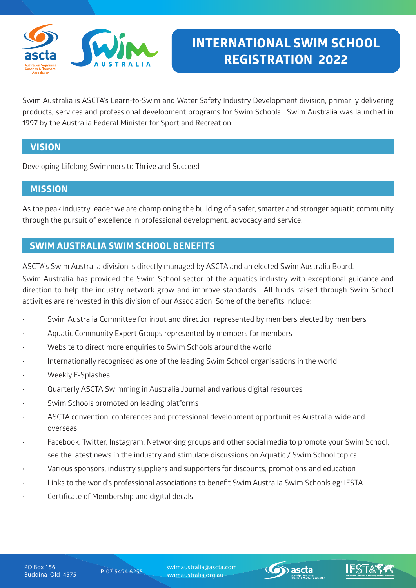

Swim Australia is ASCTA's Learn-to-Swim and Water Safety Industry Development division, primarily delivering products, services and professional development programs for Swim Schools. Swim Australia was launched in 1997 by the Australia Federal Minister for Sport and Recreation.

## **VISION**

Developing Lifelong Swimmers to Thrive and Succeed

### **MISSION**

As the peak industry leader we are championing the building of a safer, smarter and stronger aquatic community through the pursuit of excellence in professional development, advocacy and service.

## **SWIM AUSTRALIA SWIM SCHOOL BENEFITS**

ASCTA's Swim Australia division is directly managed by ASCTA and an elected Swim Australia Board.

Swim Australia has provided the Swim School sector of the aquatics industry with exceptional guidance and direction to help the industry network grow and improve standards. All funds raised through Swim School activities are reinvested in this division of our Association. Some of the benefits include:

- Swim Australia Committee for input and direction represented by members elected by members
- Aquatic Community Expert Groups represented by members for members
- Website to direct more enquiries to Swim Schools around the world
- Internationally recognised as one of the leading Swim School organisations in the world
- Weekly E-Splashes
- Quarterly ASCTA Swimming in Australia Journal and various digital resources
- Swim Schools promoted on leading platforms
- ASCTA convention, conferences and professional development opportunities Australia-wide and overseas
- Facebook, Twitter, Instagram, Networking groups and other social media to promote your Swim School, see the latest news in the industry and stimulate discussions on Aquatic / Swim School topics
- Various sponsors, industry suppliers and supporters for discounts, promotions and education
- Links to the world's professional associations to benefit Swim Australia Swim Schools eg: IFSTA
- Certificate of Membership and digital decals

Buddina Qld 4575 P. 07 5494 6255 swimaustralia@ascta.com swimaustralia.org.au

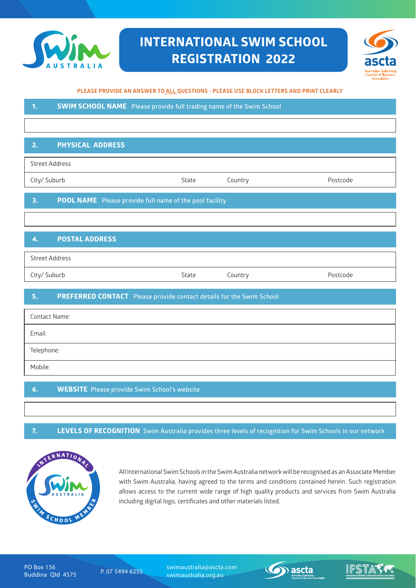

## **INTERNATIONAL SWIM SCHOOL REGISTRATION 2022**



#### **PLEASE PROVIDE AN ANSWER TO ALL QUESTIONS - PLEASE USE BLOCK LETTERS AND PRINT CLEARLY**

**1. SWIM SCHOOL NAME Please provide full trading name of the Swim School**

#### **2. PHYSICAL ADDRESS**

City/ Suburb State Country Postcode

#### **3. POOL NAME Please provide full name of the pool facility**

#### **4. POSTAL ADDRESS**

Street Address

City/ Suburb State Country Postcode

#### **5. PREFERRED CONTACT Please provide contact details for the Swim School**

| <b>Contact Name:</b> |
|----------------------|
| Email:               |
| Telephone:           |
| Mobile:              |

#### **6. WEBSITE Please provide Swim School's website**

#### **7. LEVELS OF RECOGNITION Swim Australia provides three levels of recognition for Swim Schools in our network**



All International Swim Schools in the Swim Australia network will be recognised as an Associate Member with Swim Australia, having agreed to the terms and conditions contained herein. Such registration allows access to the current wide range of high quality products and services from Swim Australia including digital logo, certificates and other materials listed.

PO Box 156<br>Buddina Qld 4575

Buddina Qld 4575 P. 07 5494 6255 swimaustralia@ascta.com swimaustralia.org.au

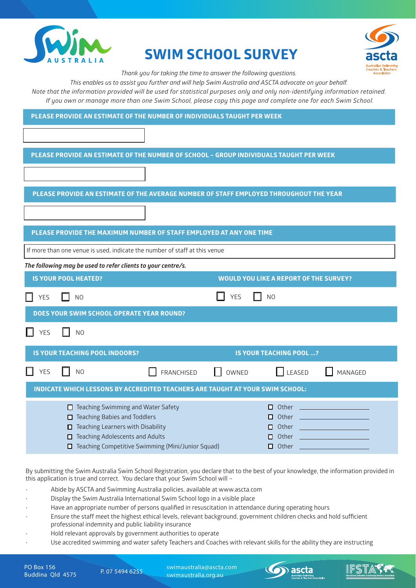

# **SWIM SCHOOL SURVEY**



*Thank you for taking the time to answer the following questions.*

*This enables us to assist you further and will help Swim Australia and ASCTA advocate on your behalf. Note that the information provided will be used for statistical purposes only and only non-identifying information retained.*

 *If you own or manage more than one Swim School, please copy this page and complete one for each Swim School.*

|  | PLEASE PROVIDE AN ESTIMATE OF THE NUMBER OF SCHOOL - GROUP INDIVIDUALS TAUGHT PER WEEK |
|--|----------------------------------------------------------------------------------------|
|  |                                                                                        |

**PLEASE PROVIDE AN ESTIMATE OF THE AVERAGE NUMBER OF STAFF EMPLOYED THROUGHOUT THE YEAR**

#### **PLEASE PROVIDE THE MAXIMUM NUMBER OF STAFF EMPLOYED AT ANY ONE TIME**

If more than one venue is used, indicate the number of staff at this venue

*The following may be used to refer clients to your centre/s.*

|                                                                                      | <b>IS YOUR POOL HEATED?</b>                                                                                                                                                         |                                                   |            | <b>WOULD YOU LIKE A REPORT OF THE SURVEY?</b>       |                                                                                                                                                                                                                                                                                                                                                                |
|--------------------------------------------------------------------------------------|-------------------------------------------------------------------------------------------------------------------------------------------------------------------------------------|---------------------------------------------------|------------|-----------------------------------------------------|----------------------------------------------------------------------------------------------------------------------------------------------------------------------------------------------------------------------------------------------------------------------------------------------------------------------------------------------------------------|
| <b>YES</b>                                                                           | N <sub>O</sub>                                                                                                                                                                      |                                                   | <b>YES</b> | N <sub>O</sub>                                      |                                                                                                                                                                                                                                                                                                                                                                |
|                                                                                      | DOES YOUR SWIM SCHOOL OPERATE YEAR ROUND?                                                                                                                                           |                                                   |            |                                                     |                                                                                                                                                                                                                                                                                                                                                                |
| <b>YES</b>                                                                           | N <sub>O</sub>                                                                                                                                                                      |                                                   |            |                                                     |                                                                                                                                                                                                                                                                                                                                                                |
|                                                                                      | <b>IS YOUR TEACHING POOL INDOORS?</b>                                                                                                                                               |                                                   |            | <b>IS YOUR TEACHING POOL ?</b>                      |                                                                                                                                                                                                                                                                                                                                                                |
| <b>YES</b>                                                                           | N <sub>O</sub>                                                                                                                                                                      | <b>FRANCHISED</b>                                 | OWNED      | LEASED                                              | MANAGED                                                                                                                                                                                                                                                                                                                                                        |
| <b>INDICATE WHICH LESSONS BY ACCREDITED TEACHERS ARE TAUGHT AT YOUR SWIM SCHOOL:</b> |                                                                                                                                                                                     |                                                   |            |                                                     |                                                                                                                                                                                                                                                                                                                                                                |
|                                                                                      | Teaching Swimming and Water Safety<br>п<br><b>Teaching Babies and Toddlers</b><br>П.<br>Teaching Learners with Disability<br>0<br><b>Teaching Adolescents and Adults</b><br>П.<br>0 | Teaching Competitive Swimming (Mini/Junior Squad) |            | п.<br>0<br>Other<br>П.<br>Other<br>п.<br>Other<br>п | Other _________________________<br>Other _______________________<br><u> 1999 - Jan Alexandria (h. 1989).</u><br><b>Contract Contract Contract Contract Contract Contract Contract Contract Contract Contract Contract Contract Co</b><br><b>Contract Contract Contract Contract Contract Contract Contract Contract Contract Contract Contract Contract Co</b> |

By submitting the Swim Australia Swim School Registration, you declare that to the best of your knowledge, the information provided in this application is true and correct. You declare that your Swim School will –

- Abide by ASCTA and Swimming Australia policies, available at www.ascta.com
- Display the Swim Australia International Swim School logo in a visible place
- Have an appropriate number of persons qualified in resuscitation in attendance during operating hours
- Ensure the staff meet the highest ethical levels, relevant background, government children checks and hold sufficient professional indemnity and public liability insurance
- Hold relevant approvals by government authorities to operate
- Use accredited swimming and water safety Teachers and Coaches with relevant skills for the ability they are instructing

PO Box 156<br>Buddina *Qld* 4575

Buddina Qld 4575 P. 07 5494 6255 swimaustralia@ascta.com swimaustralia.org.au